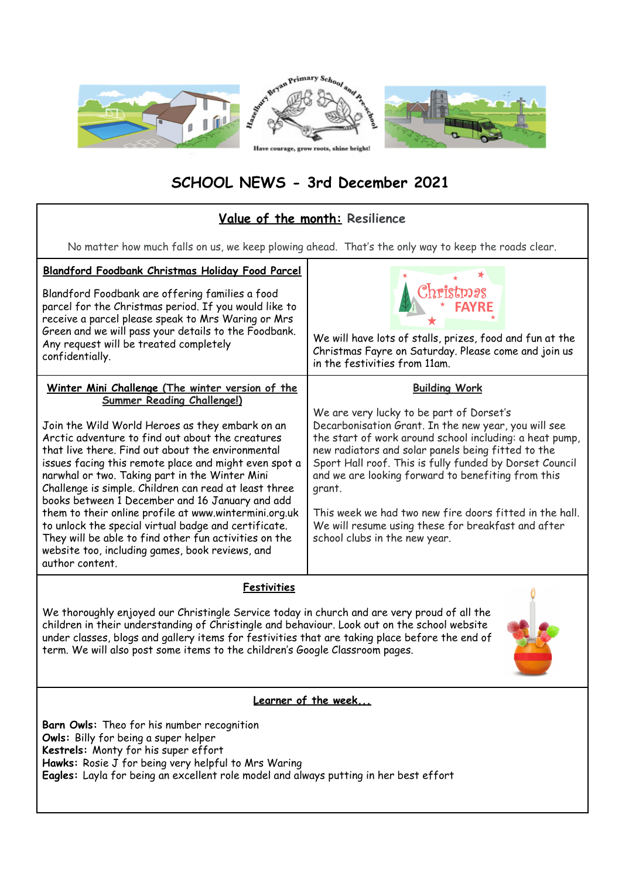

## **SCHOOL NEWS - 3rd December 2021**

## **Value of the month: Resilience**

No matter how much falls on us, we keep plowing ahead. That's the only way to keep the roads clear.

| Blandford Foodbank Christmas Holiday Food Parcel<br>Blandford Foodbank are offering families a food<br>parcel for the Christmas period. If you would like to<br>receive a parcel please speak to Mrs Waring or Mrs<br>Green and we will pass your details to the Foodbank.<br>Any request will be treated completely<br>confidentially.                                                                                                                                                                                                                                                                                                                                                                                  | We will have lots of stalls, prizes, food and fun at the<br>Christmas Fayre on Saturday. Please come and join us<br>in the festivities from 11am.                                                                                                                                                                                                                                                                                                                                                                      |
|--------------------------------------------------------------------------------------------------------------------------------------------------------------------------------------------------------------------------------------------------------------------------------------------------------------------------------------------------------------------------------------------------------------------------------------------------------------------------------------------------------------------------------------------------------------------------------------------------------------------------------------------------------------------------------------------------------------------------|------------------------------------------------------------------------------------------------------------------------------------------------------------------------------------------------------------------------------------------------------------------------------------------------------------------------------------------------------------------------------------------------------------------------------------------------------------------------------------------------------------------------|
| Winter Mini Challenge (The winter version of the<br><b>Summer Reading Challenge!)</b><br>Join the Wild World Heroes as they embark on an<br>Arctic adventure to find out about the creatures<br>that live there. Find out about the environmental<br>issues facing this remote place and might even spot a<br>narwhal or two. Taking part in the Winter Mini<br>Challenge is simple. Children can read at least three<br>books between 1 December and 16 January and add<br>them to their online profile at www.wintermini.org.uk<br>to unlock the special virtual badge and certificate.<br>They will be able to find other fun activities on the<br>website too, including games, book reviews, and<br>author content. | <b>Building Work</b><br>We are very lucky to be part of Dorset's<br>Decarbonisation Grant. In the new year, you will see<br>the start of work around school including: a heat pump,<br>new radiators and solar panels being fitted to the<br>Sport Hall roof. This is fully funded by Dorset Council<br>and we are looking forward to benefiting from this<br>grant.<br>This week we had two new fire doors fitted in the hall.<br>We will resume using these for breakfast and after<br>school clubs in the new year. |
| .                                                                                                                                                                                                                                                                                                                                                                                                                                                                                                                                                                                                                                                                                                                        |                                                                                                                                                                                                                                                                                                                                                                                                                                                                                                                        |

**Festivities**

We thoroughly enjoyed our Christingle Service today in church and are very proud of all the children in their understanding of Christingle and behaviour. Look out on the school website under classes, blogs and gallery items for festivities that are taking place before the end of term. We will also post some items to the children's Google Classroom pages.



## **Learner of the week...**

**Barn Owls:** Theo for his number recognition **Owls:** Billy for being a super helper **Kestrels:** Monty for his super effort Hawks: Rosie J for being very helpful to Mrs Waring **Eagles:** Layla for being an excellent role model and always putting in her best effort